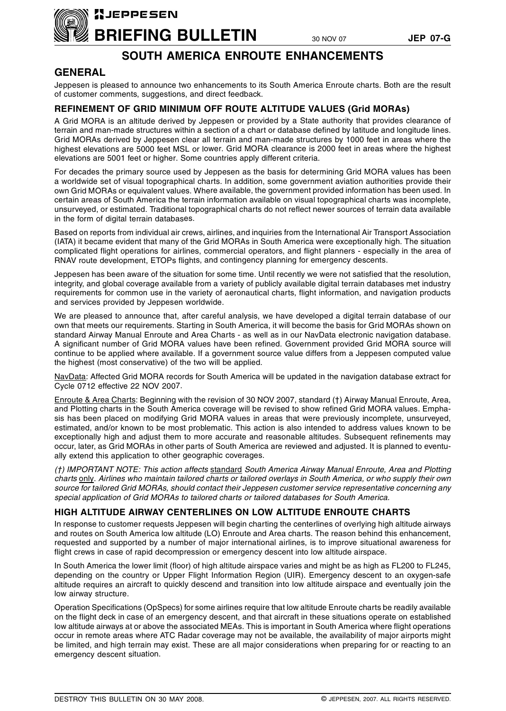

## **SOUTH AMERICA ENROUTE ENHANCEMENTS**

### **GENERAL**

Jeppesen is pleased to announce two enhancements to its South America Enroute charts. Both are the result of customer comments, suggestions, and direct feedback.

#### **REFINEMENT OF GRID MINIMUM OFF ROUTE ALTITUDE VALUES (Grid MORAs)**

A Grid MORA is an altitude derived by Jeppesen or provided by a State authority that provides clearance of terrain and man-made structures within a section of a chart or database defined by latitude and longitude lines. Grid MORAs derived by Jeppesen clear all terrain and man-made structures by 1000 feet in areas where the highest elevations are 5000 feet MSL or lower. Grid MORA clearance is 2000 feet in areas where the highest elevations are 5001 feet or higher. Some countries apply different criteria.

For decades the primary source used by Jeppesen as the basis for determining Grid MORA values has been a worldwide set of visual topographical charts. In addition, some government aviation authorities provide their own Grid MORAs or equivalent values. Where available, the government provided information has been used. In certain areas of South America the terrain information available on visual topographical charts was incomplete, unsurveyed, or estimated. Traditional topographical charts do not reflect newer sources of terrain data available in the form of digital terrain databases.

Based on reports from individual air crews, airlines, and inquiries from the International Air Transport Association (IATA) it became evident that many of the Grid MORAs in South America were exceptionally high. The situation complicated flight operations for airlines, commercial operators, and flight planners - especially in the area of RNAV route development, ETOPs flights, and contingency planning for emergency descents.

Jeppesen has been aware of the situation for some time. Until recently we were not satisfied that the resolution, integrity, and global coverage available from a variety of publicly available digital terrain databases met industry requirements for common use in the variety of aeronautical charts, flight information, and navigation products and services provided by Jeppesen worldwide.

We are pleased to announce that, after careful analysis, we have developed a digital terrain database of our own that meets our requirements. Starting in South America, it will become the basis for Grid MORAs shown on standard Airway Manual Enroute and Area Charts - as well as in our NavData electronic navigation database. A significant number of Grid MORA values have been refined. Government provided Grid MORA source will continue to be applied where available. If a government source value differs from a Jeppesen computed value the highest (most conservative) of the two will be applied.

NavData: Affected Grid MORA records for South America will be updated in the navigation database extract for Cycle 0712 effective 22 NOV 2007.

Enroute & Area Charts: Beginning with the revision of 30 NOV 2007, standard (†) Airway Manual Enroute, Area, and Plotting charts in the South America coverage will be revised to show refined Grid MORA values. Emphasis has been placed on modifying Grid MORA values in areas that were previously incomplete, unsurveyed, estimated, and/or known to be most problematic. This action is also intended to address values known to be exceptionally high and adjust them to more accurate and reasonable altitudes. Subsequent refinements may occur, later, as Grid MORAs in other parts of South America are reviewed and adjusted. It is planned to eventually extend this application to other geographic coverages.

*(†) IMPORTANT NOTE: This action affects* standard *South America Airway Manual Enroute, Area and Plotting charts* only. *Airlines who maintain tailored charts or tailored overlays in South America, or who supply their own source for tailored Grid MORAs, should contact their Jeppesen customer service representative concerning any special application of Grid MORAs to tailored charts or tailored databases for South America.*

#### **HIGH ALTITUDE AIRWAY CENTERLINES ON LOW ALTITUDE ENROUTE CHARTS**

In response to customer requests Jeppesen will begin charting the centerlines of overlying high altitude airways and routes on South America low altitude (LO) Enroute and Area charts. The reason behind this enhancement, requested and supported by a number of major international airlines, is to improve situational awareness for flight crews in case of rapid decompression or emergency descent into low altitude airspace.

In South America the lower limit (floor) of high altitude airspace varies and might be as high as FL200 to FL245, depending on the country or Upper Flight Information Region (UIR). Emergency descent to an oxygen-safe altitude requires an aircraft to quickly descend and transition into low altitude airspace and eventually join the low airway structure.

Operation Specifications (OpSpecs) for some airlines require that low altitude Enroute charts be readily available on the flight deck in case of an emergency descent, and that aircraft in these situations operate on established low altitude airways at or above the associated MEAs. This is important in South America where flight operations occur in remote areas where ATC Radar coverage may not be available, the availability of major airports might be limited, and high terrain may exist. These are all major considerations when preparing for or reacting to an emergency descent situation.